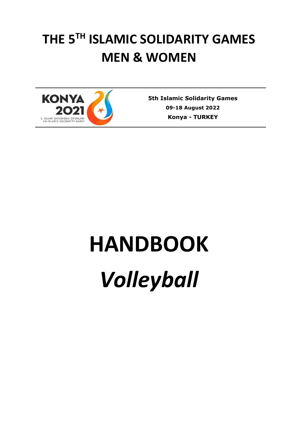# **THE 5TH ISLAMIC SOLIDARITY GAMES MEN & WOMEN**



**5th Islamic Solidarity Games 09-18 August 2022 Konya** *-* **TURKEY**

# **HANDBOOK** *Volleyball*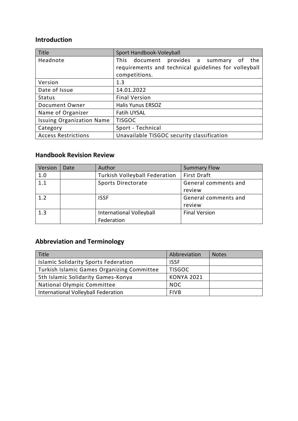### **Introduction**

| Title                            | Sport Handbook-Voleyball                             |  |  |  |  |
|----------------------------------|------------------------------------------------------|--|--|--|--|
| Headnote                         | document provides a summary<br>This<br>the<br>οf     |  |  |  |  |
|                                  | requirements and technical guidelines for volleyball |  |  |  |  |
|                                  | competitions.                                        |  |  |  |  |
| Version                          | 1.3                                                  |  |  |  |  |
| Date of Issue                    | 14.01.2022                                           |  |  |  |  |
| <b>Status</b>                    | <b>Final Version</b>                                 |  |  |  |  |
| Document Owner                   | <b>Halis Yunus ERSOZ</b>                             |  |  |  |  |
| Name of Organizer                | <b>Fatih UYSAL</b>                                   |  |  |  |  |
| <b>Issuing Organization Name</b> | <b>TISGOC</b>                                        |  |  |  |  |
| Category                         | Sport - Technical                                    |  |  |  |  |
| <b>Access Restrictions</b>       | Unavailable TISGOC security classification           |  |  |  |  |

## **Handbook Revision Review**

| Version        | Date | Author                               | <b>Summary Flow</b>  |
|----------------|------|--------------------------------------|----------------------|
| 1.0            |      | <b>Turkish Volleyball Federation</b> | <b>First Draft</b>   |
| 1.1            |      | Sports Directorate                   | General comments and |
|                |      |                                      | review               |
| 1 <sub>2</sub> |      | <b>ISSF</b>                          | General comments and |
|                |      |                                      | review               |
| 1.3            |      | <b>International Volleyball</b>      | <b>Final Version</b> |
|                |      | Federation                           |                      |

# **Abbreviation and Terminology**

| <b>Title</b>                                | Abbreviation      | <b>Notes</b> |
|---------------------------------------------|-------------------|--------------|
| <b>Islamic Solidarity Sports Federation</b> | <b>ISSF</b>       |              |
| Turkish Islamic Games Organizing Committee  | <b>TISGOC</b>     |              |
| 5th Islamic Solidarity Games-Konya          | <b>KONYA 2021</b> |              |
| National Olympic Committee                  | <b>NOC</b>        |              |
| International Volleyball Federation         | <b>FIVB</b>       |              |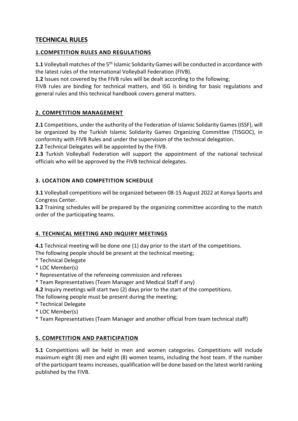#### **TECHNICAL RULES**

#### **1.COMPETITION RULES AND REGULATIONS**

1.1 Volleyball matches of the 5<sup>th</sup> Islamic Solidarity Games will be conducted in accordance with the latest rules of the International Volleyball Federation (FIVB).

**1.2** Issues not covered by the FIVB rules will be dealt according to the following;

FIVB rules are binding for technical matters, and ISG is binding for basic regulations and general rules and this technical handbook covers general matters.

#### **2. COMPETITION MANAGEMENT**

**2.1** Competitions, under the authority of the Federation of Islamic Solidarity Games (ISSF), will be organized by the Turkish Islamic Solidarity Games Organizing Committee (TISGOC), in conformity with FIVB Rules and under the supervision of the technical delegation.

**2.2** Technical Delegates will be appointed by the FIVB.

**2.3** Turkish Volleyball Federation will support the appointment of the national technical officials who will be approved by the FIVB technical delegates.

#### **3. LOCATION AND COMPETITION SCHEDULE**

**3.1** Volleyball competitions will be organized between 08-15 August 2022 at Konya Sports and Congress Center.

**3.2** Training schedules will be prepared by the organizing committee according to the match order of the participating teams.

#### **4. TECHNICAL MEETING AND INQUIRY MEETINGS**

**4.1** Technical meeting will be done one (1) day prior to the start of the competitions. The following people should be present at the technical meeting;

- \* Technical Delegate
- \* LOC Member(s)
- \* Representative of the refereeing commission and referees
- \* Team Representatives (Team Manager and Medical Staff if any)

**4.2** Inquiry meetings will start two (2) days prior to the start of the competitions.

The following people must be present during the meeting;

- \* Technical Delegate
- \* LOC Member(s)
- \* Team Representatives (Team Manager and another official from team technical staff)

#### **5. COMPETITION AND PARTICIPATION**

**5.1** Competitions will be held in men and women categories. Competitions will include maximum eight (8) men and eight (8) women teams, including the host team. If the number of the participant teams increases, qualification will be done based on the latest world ranking published by the FIVB.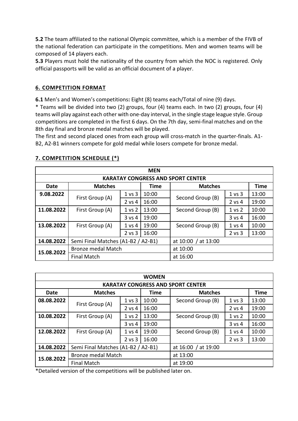**5.2** The team affiliated to the national Olympic committee, which is a member of the FIVB of the national federation can participate in the competitions. Men and women teams will be composed of 14 players each.

**5.3** Players must hold the nationality of the country from which the NOC is registered. Only official passports will be valid as an official document of a player.

#### **6. COMPETITION FORMAT**

**6.1** Men's and Women's competitions**:** Eight (8) teams each/Total of nine (9) days.

\* Teams will be divided into two (2) groups, four (4) teams each. In two (2) groups, four (4) teams will play against each other with one-day interval, in the single stage league style. Group competitions are completed in the first 6 days. On the 7th day, semi-final matches and on the 8th day final and bronze medal matches will be played.

The first and second placed ones from each group will cross-match in the quarter-finals. A1- B2, A2-B1 winners compete for gold medal while losers compete for bronze medal.

| <b>MEN</b>                               |                                    |            |                      |                  |            |             |
|------------------------------------------|------------------------------------|------------|----------------------|------------------|------------|-------------|
| <b>KARATAY CONGRESS AND SPORT CENTER</b> |                                    |            |                      |                  |            |             |
| Date                                     | <b>Matches</b>                     |            | Time                 | <b>Matches</b>   |            | <b>Time</b> |
| 9.08.2022                                | First Group (A)                    | 1 vs 3     | 10:00                | Second Group (B) | 1 vs 3     | 13:00       |
|                                          |                                    | 2 vs 4     | 16:00                |                  | $2$ vs $4$ | 19:00       |
| 11.08.2022                               | First Group (A)                    | 1 vs 2     | 13:00                | Second Group (B) | 1 vs 2     | 10:00       |
|                                          |                                    | 3 vs 4     | 19:00                |                  | 3 v s 4    | 16:00       |
| 13.08.2022                               | First Group (A)                    | $1$ vs $4$ | 19:00                | Second Group (B) | $1$ vs 4   | 10:00       |
|                                          |                                    | $2$ vs $3$ | 16:00                |                  | 2 vs 3     | 13:00       |
| 14.08.2022                               | Semi Final Matches (A1-B2 / A2-B1) |            | at 13:00<br>at 10:00 |                  |            |             |
| 15.08.2022                               | <b>Bronze medal Match</b>          |            | at 10:00             |                  |            |             |
|                                          | <b>Final Match</b>                 |            |                      | at 16:00         |            |             |

#### **7. COMPETITION SCHEDULE (\*)**

| <b>WOMEN</b>                             |                                    |                   |                     |                  |            |             |  |
|------------------------------------------|------------------------------------|-------------------|---------------------|------------------|------------|-------------|--|
| <b>KARATAY CONGRESS AND SPORT CENTER</b> |                                    |                   |                     |                  |            |             |  |
| <b>Date</b>                              | <b>Matches</b>                     |                   | <b>Time</b>         | <b>Matches</b>   |            | <b>Time</b> |  |
| 08.08.2022                               | First Group (A)                    | 1 vs 3            | 10:00               | Second Group (B) | 1 vs 3     | 13:00       |  |
|                                          |                                    | 2 vs 4            | 16:00               |                  | 2 vs 4     | 19:00       |  |
| 10.08.2022                               | First Group (A)                    | 1 <sub>vs</sub> 2 | 13:00               | Second Group (B) | 1 vs 2     | 10:00       |  |
|                                          |                                    | 3 vs 4            | 19:00               |                  | $3$ vs $4$ | 16:00       |  |
| 12.08.2022                               | First Group (A)                    | 1 vs 4            | 19:00               | Second Group (B) | 1 vs 4     | 10:00       |  |
|                                          |                                    | $2$ vs $3$        | 16:00               |                  | $2$ vs $3$ | 13:00       |  |
| 14.08.2022                               | Semi Final Matches (A1-B2 / A2-B1) |                   | at 16:00 / at 19:00 |                  |            |             |  |
| 15.08.2022                               | <b>Bronze medal Match</b>          |                   | at 13:00            |                  |            |             |  |
|                                          | <b>Final Match</b>                 |                   |                     | at 19:00         |            |             |  |

\*Detailed version of the competitions will be published later on.